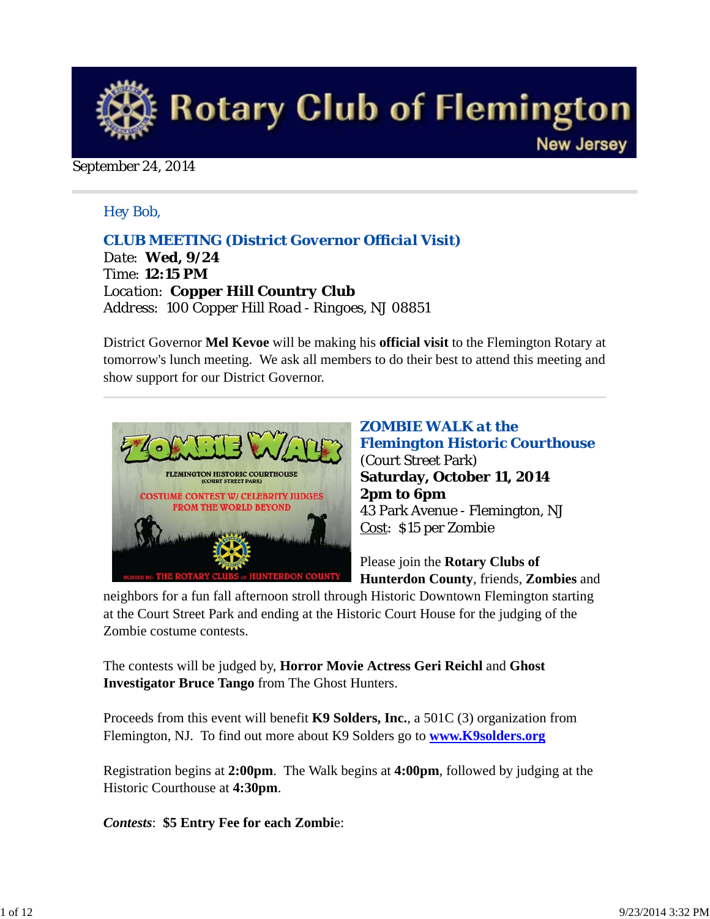

#### September 24, 2014

#### *Hey Bob,*

#### *CLUB MEETING (District Governor Official Visit)*

*Date: Wed, 9/24 Time: 12:15 PM Location: Copper Hill Country Club Address: 100 Copper Hill Road - Ringoes, NJ 08851*

District Governor **Mel Kevoe** will be making his **official visit** to the Flemington Rotary at tomorrow's lunch meeting. We ask all members to do their best to attend this meeting and show support for our District Governor.



*ZOMBIE WALK at the Flemington Historic Courthouse* (Court Street Park) **Saturday, October 11, 2014 2pm to 6pm** 43 Park Avenue - Flemington, NJ Cost: \$15 per Zombie

Please join the **Rotary Clubs of Hunterdon County**, friends, **Zombies** and

neighbors for a fun fall afternoon stroll through Historic Downtown Flemington starting at the Court Street Park and ending at the Historic Court House for the judging of the Zombie costume contests.

The contests will be judged by, **Horror Movie Actress Geri Reichl** and **Ghost Investigator Bruce Tango** from The Ghost Hunters.

Proceeds from this event will benefit **K9 Solders, Inc.**, a 501C (3) organization from Flemington, NJ. To find out more about K9 Solders go to **www.K9solders.org**

Registration begins at **2:00pm**. The Walk begins at **4:00pm**, followed by judging at the Historic Courthouse at **4:30pm**.

*Contests*: **\$5 Entry Fee for each Zombi**e: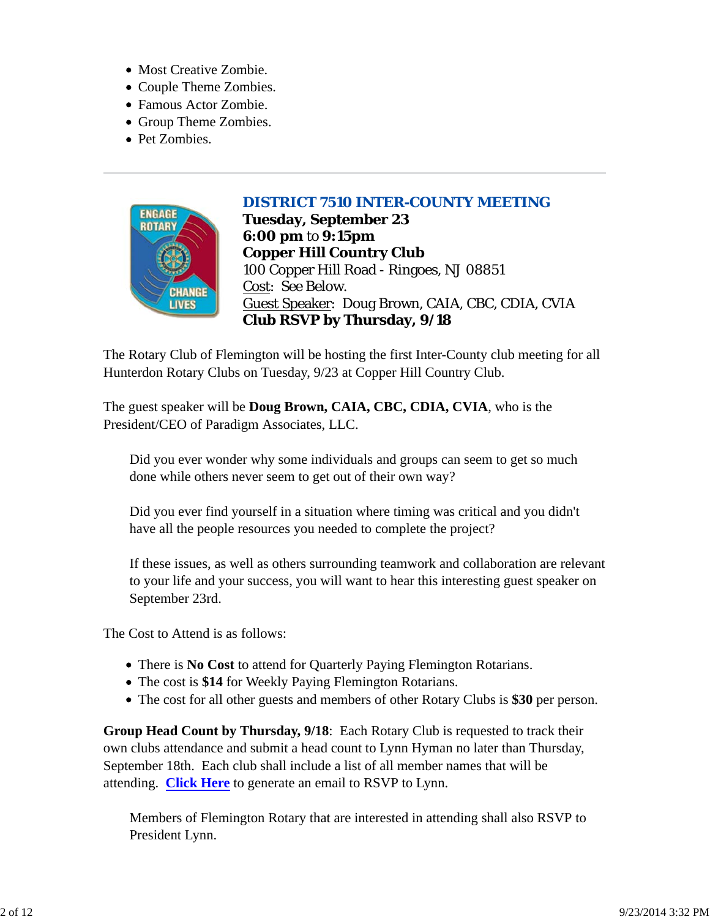- Most Creative Zombie.
- Couple Theme Zombies.
- Famous Actor Zombie.
- Group Theme Zombies.
- Pet Zombies.

## *DISTRICT 7510 INTER-COUNTY MEETING*



**Tuesday, September 23 6:00 pm** to **9:15pm Copper Hill Country Club** 100 Copper Hill Road - Ringoes, NJ 08851 Cost: See Below. Guest Speaker: Doug Brown, CAIA, CBC, CDIA, CVIA **Club RSVP by Thursday, 9/18**

The Rotary Club of Flemington will be hosting the first Inter-County club meeting for all Hunterdon Rotary Clubs on Tuesday, 9/23 at Copper Hill Country Club.

The guest speaker will be **Doug Brown, CAIA, CBC, CDIA, CVIA**, who is the President/CEO of Paradigm Associates, LLC.

Did you ever wonder why some individuals and groups can seem to get so much done while others never seem to get out of their own way?

Did you ever find yourself in a situation where timing was critical and you didn't have all the people resources you needed to complete the project?

If these issues, as well as others surrounding teamwork and collaboration are relevant to your life and your success, you will want to hear this interesting guest speaker on September 23rd.

The Cost to Attend is as follows:

- There is **No Cost** to attend for Quarterly Paying Flemington Rotarians.
- The cost is **\$14** for Weekly Paying Flemington Rotarians.
- The cost for all other guests and members of other Rotary Clubs is **\$30** per person.

**Group Head Count by Thursday, 9/18**: Each Rotary Club is requested to track their own clubs attendance and submit a head count to Lynn Hyman no later than Thursday, September 18th. Each club shall include a list of all member names that will be attending. **Click Here** to generate an email to RSVP to Lynn.

Members of Flemington Rotary that are interested in attending shall also RSVP to President Lynn.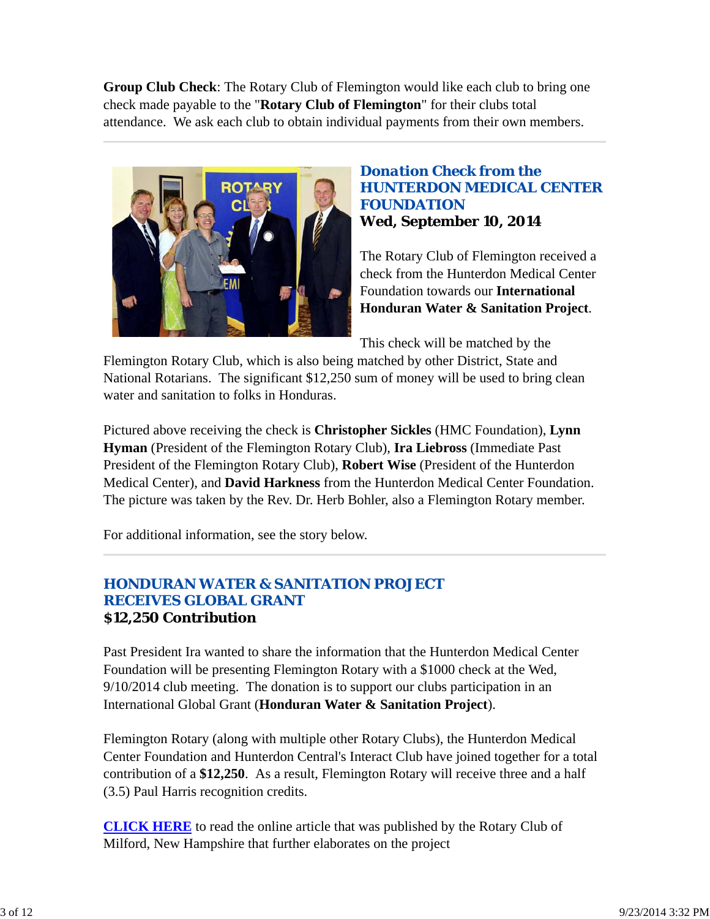**Group Club Check**: The Rotary Club of Flemington would like each club to bring one check made payable to the "**Rotary Club of Flemington**" for their clubs total attendance. We ask each club to obtain individual payments from their own members.



#### *Donation Check from the HUNTERDON MEDICAL CENTER FOUNDATION* **Wed, September 10, 2014**

The Rotary Club of Flemington received a check from the Hunterdon Medical Center Foundation towards our **International Honduran Water & Sanitation Project**.

This check will be matched by the

Flemington Rotary Club, which is also being matched by other District, State and National Rotarians. The significant \$12,250 sum of money will be used to bring clean water and sanitation to folks in Honduras.

Pictured above receiving the check is **Christopher Sickles** (HMC Foundation), **Lynn Hyman** (President of the Flemington Rotary Club), **Ira Liebross** (Immediate Past President of the Flemington Rotary Club), **Robert Wise** (President of the Hunterdon Medical Center), and **David Harkness** from the Hunterdon Medical Center Foundation. The picture was taken by the Rev. Dr. Herb Bohler, also a Flemington Rotary member.

For additional information, see the story below.

#### *HONDURAN WATER & SANITATION PROJECT RECEIVES GLOBAL GRANT* **\$12,250 Contribution**

Past President Ira wanted to share the information that the Hunterdon Medical Center Foundation will be presenting Flemington Rotary with a \$1000 check at the Wed, 9/10/2014 club meeting. The donation is to support our clubs participation in an International Global Grant (**Honduran Water & Sanitation Project**).

Flemington Rotary (along with multiple other Rotary Clubs), the Hunterdon Medical Center Foundation and Hunterdon Central's Interact Club have joined together for a total contribution of a **\$12,250**. As a result, Flemington Rotary will receive three and a half (3.5) Paul Harris recognition credits.

**CLICK HERE** to read the online article that was published by the Rotary Club of Milford, New Hampshire that further elaborates on the project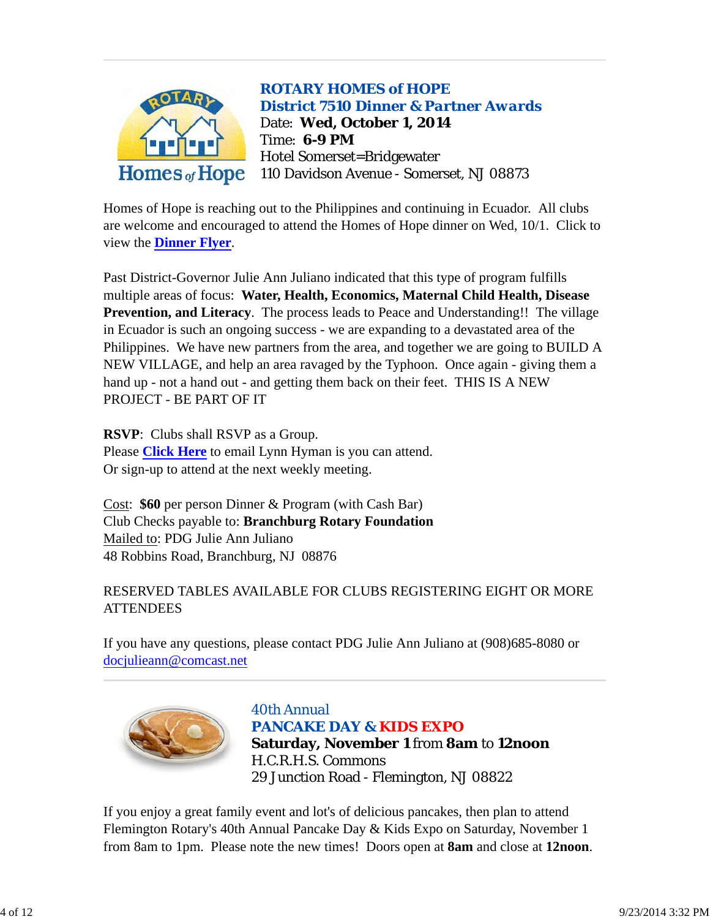

Homes of Hope is reaching out to the Philippines and continuing in Ecuador. All clubs are welcome and encouraged to attend the Homes of Hope dinner on Wed, 10/1. Click to view the **Dinner Flyer**.

Past District-Governor Julie Ann Juliano indicated that this type of program fulfills multiple areas of focus: **Water, Health, Economics, Maternal Child Health, Disease Prevention, and Literacy**. The process leads to Peace and Understanding!! The village in Ecuador is such an ongoing success - we are expanding to a devastated area of the Philippines. We have new partners from the area, and together we are going to BUILD A NEW VILLAGE, and help an area ravaged by the Typhoon. Once again - giving them a hand up - not a hand out - and getting them back on their feet. THIS IS A NEW PROJECT - BE PART OF IT

**RSVP**: Clubs shall RSVP as a Group. Please **Click Here** to email Lynn Hyman is you can attend. Or sign-up to attend at the next weekly meeting.

Cost: **\$60** per person Dinner & Program (with Cash Bar) Club Checks payable to: **Branchburg Rotary Foundation** Mailed to: PDG Julie Ann Juliano 48 Robbins Road, Branchburg, NJ 08876

## RESERVED TABLES AVAILABLE FOR CLUBS REGISTERING EIGHT OR MORE **ATTENDEES**

If you have any questions, please contact PDG Julie Ann Juliano at (908)685-8080 or docjulieann@comcast.net



*40th Annual PANCAKE DAY & KIDS EXPO* **Saturday, November 1** from **8am** to **12noon** H.C.R.H.S. Commons 29 Junction Road - Flemington, NJ 08822

If you enjoy a great family event and lot's of delicious pancakes, then plan to attend Flemington Rotary's 40th Annual Pancake Day & Kids Expo on Saturday, November 1 from 8am to 1pm. Please note the new times! Doors open at **8am** and close at **12noon**.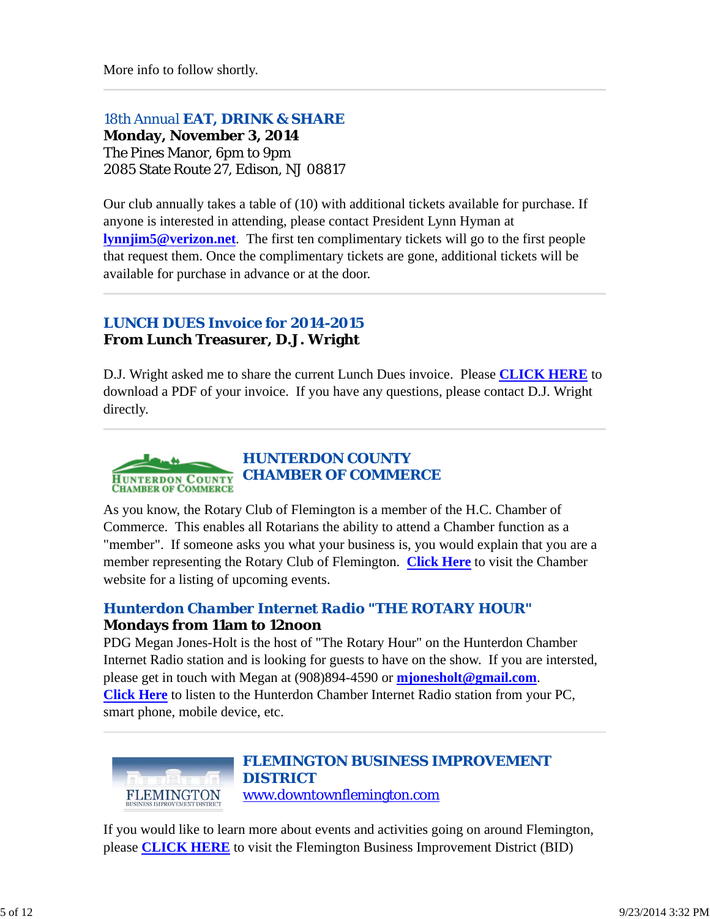More info to follow shortly.

#### *18th Annual EAT, DRINK & SHARE*

**Monday, November 3, 2014** The Pines Manor, 6pm to 9pm 2085 State Route 27, Edison, NJ 08817

Our club annually takes a table of (10) with additional tickets available for purchase. If anyone is interested in attending, please contact President Lynn Hyman at **lynnjim5@verizon.net**. The first ten complimentary tickets will go to the first people that request them. Once the complimentary tickets are gone, additional tickets will be available for purchase in advance or at the door.

## *LUNCH DUES Invoice for 2014-2015* **From Lunch Treasurer, D.J. Wright**

D.J. Wright asked me to share the current Lunch Dues invoice. Please **CLICK HERE** to download a PDF of your invoice. If you have any questions, please contact D.J. Wright directly.



As you know, the Rotary Club of Flemington is a member of the H.C. Chamber of Commerce. This enables all Rotarians the ability to attend a Chamber function as a "member". If someone asks you what your business is, you would explain that you are a member representing the Rotary Club of Flemington. **Click Here** to visit the Chamber website for a listing of upcoming events.

## *Hunterdon Chamber Internet Radio "THE ROTARY HOUR"* **Mondays from 11am to 12noon**

PDG Megan Jones-Holt is the host of "The Rotary Hour" on the Hunterdon Chamber Internet Radio station and is looking for guests to have on the show. If you are intersted, please get in touch with Megan at (908)894-4590 or **mjonesholt@gmail.com**. **Click Here** to listen to the Hunterdon Chamber Internet Radio station from your PC, smart phone, mobile device, etc.



### *FLEMINGTON BUSINESS IMPROVEMENT DISTRICT* www.downtownflemington.com

If you would like to learn more about events and activities going on around Flemington, please **CLICK HERE** to visit the Flemington Business Improvement District (BID)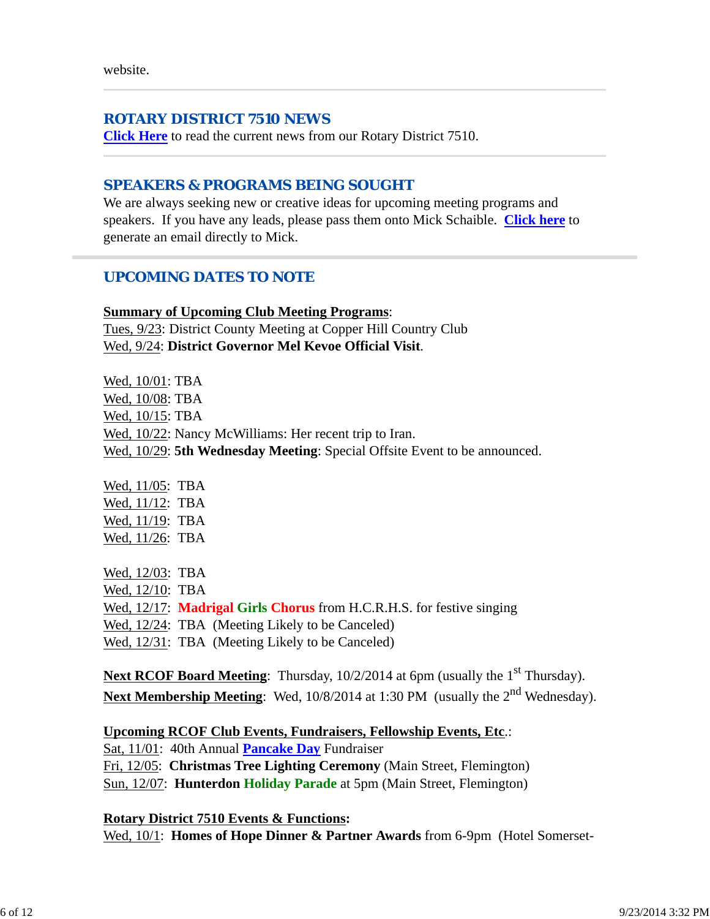#### *ROTARY DISTRICT 7510 NEWS*

**Click Here** to read the current news from our Rotary District 7510.

### *SPEAKERS & PROGRAMS BEING SOUGHT*

We are always seeking new or creative ideas for upcoming meeting programs and speakers. If you have any leads, please pass them onto Mick Schaible. **Click here** to generate an email directly to Mick.

### *UPCOMING DATES TO NOTE*

**Summary of Upcoming Club Meeting Programs**: Tues, 9/23: District County Meeting at Copper Hill Country Club Wed, 9/24: **District Governor Mel Kevoe Official Visit**.

Wed, 10/01: TBA Wed, 10/08: TBA Wed, 10/15: TBA Wed, 10/22: Nancy McWilliams: Her recent trip to Iran. Wed, 10/29: **5th Wednesday Meeting**: Special Offsite Event to be announced.

Wed, 11/05: TBA Wed, 11/12: TBA Wed, 11/19: TBA Wed, 11/26: TBA Wed, 12/03: TBA Wed, 12/10: TBA

Wed, 12/17: **Madrigal Girls Chorus** from H.C.R.H.S. for festive singing Wed,  $12/24$ : TBA (Meeting Likely to be Canceled) Wed,  $12/31$ : TBA (Meeting Likely to be Canceled)

Next RCOF Board Meeting: Thursday, 10/2/2014 at 6pm (usually the 1<sup>st</sup> Thursday). Next Membership Meeting: Wed, 10/8/2014 at 1:30 PM (usually the 2<sup>nd</sup> Wednesday).

#### **Upcoming RCOF Club Events, Fundraisers, Fellowship Events, Etc**.:

Sat, 11/01: 40th Annual **Pancake Day** Fundraiser Fri, 12/05: **Christmas Tree Lighting Ceremony** (Main Street, Flemington) Sun, 12/07: **Hunterdon Holiday Parade** at 5pm (Main Street, Flemington)

#### **Rotary District 7510 Events & Functions:**

Wed, 10/1: **Homes of Hope Dinner & Partner Awards** from 6-9pm (Hotel Somerset-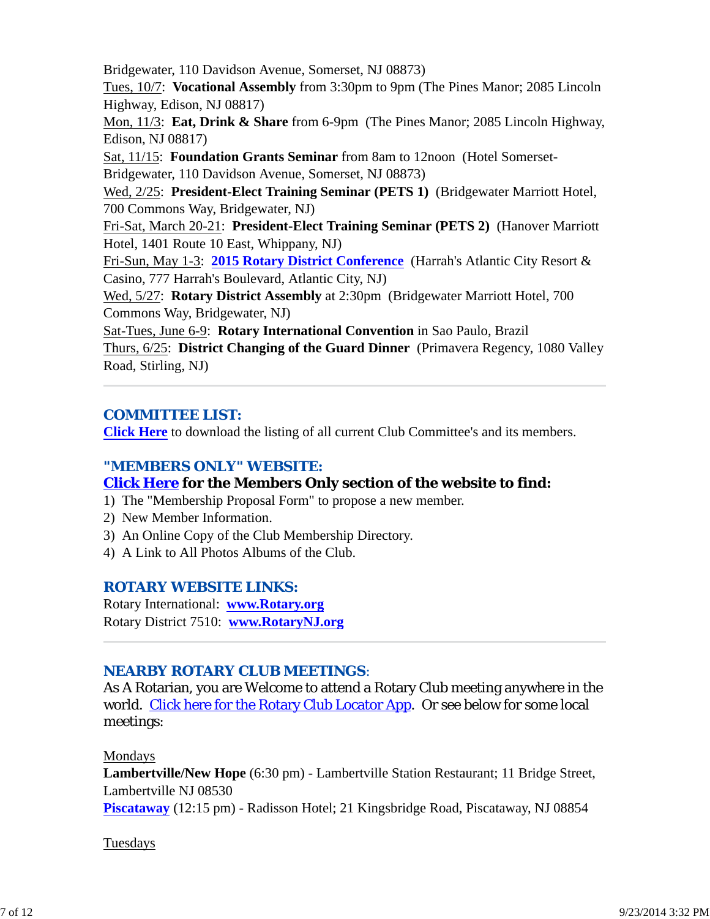Bridgewater, 110 Davidson Avenue, Somerset, NJ 08873)

Tues, 10/7: **Vocational Assembly** from 3:30pm to 9pm (The Pines Manor; 2085 Lincoln Highway, Edison, NJ 08817)

Mon, 11/3: **Eat, Drink & Share** from 6-9pm (The Pines Manor; 2085 Lincoln Highway, Edison, NJ 08817)

Sat, 11/15: **Foundation Grants Seminar** from 8am to 12noon (Hotel Somerset-Bridgewater, 110 Davidson Avenue, Somerset, NJ 08873)

Wed, 2/25: **President-Elect Training Seminar (PETS 1)** (Bridgewater Marriott Hotel, 700 Commons Way, Bridgewater, NJ)

Fri-Sat, March 20-21: **President-Elect Training Seminar (PETS 2)** (Hanover Marriott Hotel, 1401 Route 10 East, Whippany, NJ)

Fri-Sun, May 1-3: **2015 Rotary District Conference** (Harrah's Atlantic City Resort & Casino, 777 Harrah's Boulevard, Atlantic City, NJ)

Wed, 5/27: **Rotary District Assembly** at 2:30pm (Bridgewater Marriott Hotel, 700 Commons Way, Bridgewater, NJ)

Sat-Tues, June 6-9: **Rotary International Convention** in Sao Paulo, Brazil Thurs, 6/25: **District Changing of the Guard Dinner** (Primavera Regency, 1080 Valley Road, Stirling, NJ)

## *COMMITTEE LIST:*

**Click Here** to download the listing of all current Club Committee's and its members.

## *"MEMBERS ONLY" WEBSITE:*

## **Click Here for the Members Only section of the website to find:**

- 1) The "Membership Proposal Form" to propose a new member.
- 2) New Member Information.
- 3) An Online Copy of the Club Membership Directory.
- 4) A Link to All Photos Albums of the Club.

## *ROTARY WEBSITE LINKS:*

Rotary International: **www.Rotary.org** Rotary District 7510: **www.RotaryNJ.org**

## *NEARBY ROTARY CLUB MEETINGS:*

As A Rotarian, you are Welcome to attend a Rotary Club meeting anywhere in the world. Click here for the Rotary Club Locator App. Or see below for some local meetings:

## Mondays

**Lambertville/New Hope** (6:30 pm) - Lambertville Station Restaurant; 11 Bridge Street, Lambertville NJ 08530 **Piscataway** (12:15 pm) - Radisson Hotel; 21 Kingsbridge Road, Piscataway, NJ 08854

## Tuesdays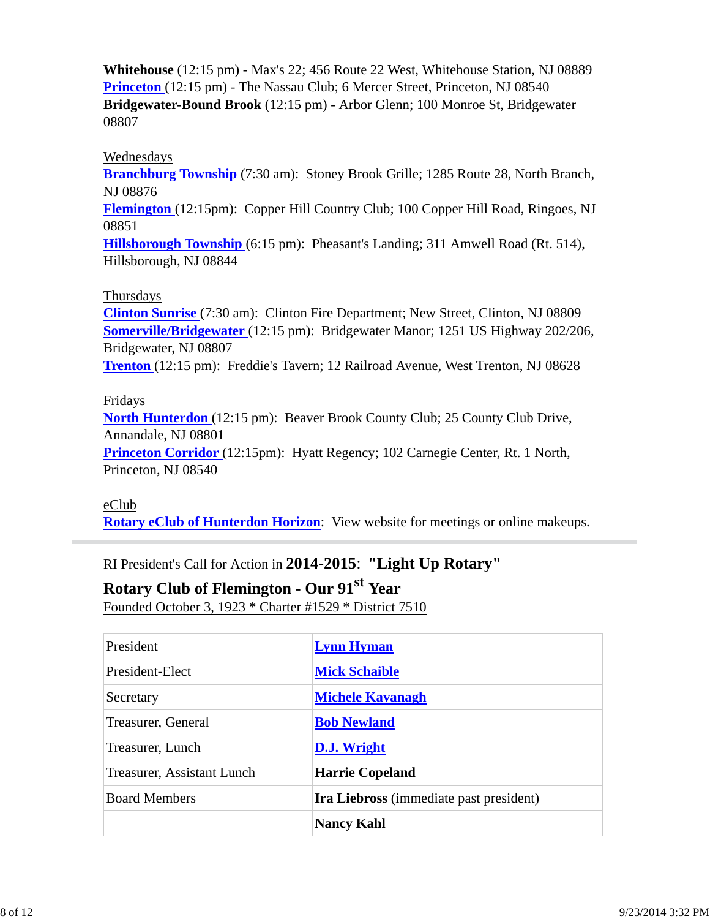**Whitehouse** (12:15 pm) - Max's 22; 456 Route 22 West, Whitehouse Station, NJ 08889 **Princeton** (12:15 pm) - The Nassau Club; 6 Mercer Street, Princeton, NJ 08540 **Bridgewater-Bound Brook** (12:15 pm) - Arbor Glenn; 100 Monroe St, Bridgewater 08807

#### Wednesdays

**Branchburg Township** (7:30 am): Stoney Brook Grille; 1285 Route 28, North Branch, NJ 08876

**Flemington** (12:15pm): Copper Hill Country Club; 100 Copper Hill Road, Ringoes, NJ 08851

**Hillsborough Township** (6:15 pm): Pheasant's Landing; 311 Amwell Road (Rt. 514), Hillsborough, NJ 08844

#### Thursdays

**Clinton Sunrise** (7:30 am): Clinton Fire Department; New Street, Clinton, NJ 08809 **Somerville/Bridgewater** (12:15 pm): Bridgewater Manor; 1251 US Highway 202/206, Bridgewater, NJ 08807

**Trenton** (12:15 pm): Freddie's Tavern; 12 Railroad Avenue, West Trenton, NJ 08628

#### Fridays

**North Hunterdon** (12:15 pm): Beaver Brook County Club; 25 County Club Drive, Annandale, NJ 08801

**Princeton Corridor** (12:15pm): Hyatt Regency; 102 Carnegie Center, Rt. 1 North, Princeton, NJ 08540

eClub **Rotary eClub of Hunterdon Horizon**: View website for meetings or online makeups.

RI President's Call for Action in **2014-2015**: **"Light Up Rotary"**

# **Rotary Club of Flemington - Our 91st Year**

Founded October 3, 1923 \* Charter #1529 \* District 7510

| President                  | <b>Lynn Hyman</b>                              |
|----------------------------|------------------------------------------------|
| President-Elect            | <b>Mick Schaible</b>                           |
| Secretary                  | <b>Michele Kavanagh</b>                        |
| Treasurer, General         | <b>Bob Newland</b>                             |
| Treasurer, Lunch           | D.J. Wright                                    |
| Treasurer, Assistant Lunch | <b>Harrie Copeland</b>                         |
| <b>Board Members</b>       | <b>Ira Liebross</b> (immediate past president) |
|                            | <b>Nancy Kahl</b>                              |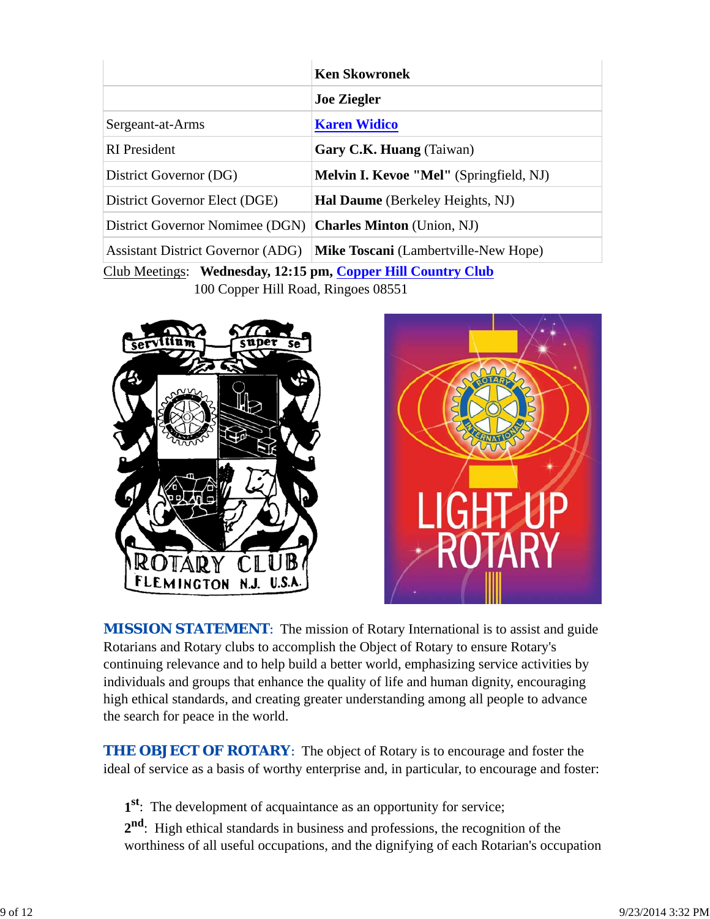|                                                              | <b>Ken Skowronek</b>                           |  |  |
|--------------------------------------------------------------|------------------------------------------------|--|--|
|                                                              | <b>Joe Ziegler</b>                             |  |  |
| Sergeant-at-Arms                                             | <b>Karen Widico</b>                            |  |  |
| <b>RI</b> President                                          | Gary C.K. Huang (Taiwan)                       |  |  |
| District Governor (DG)                                       | <b>Melvin I. Kevoe "Mel"</b> (Springfield, NJ) |  |  |
| District Governor Elect (DGE)                                | <b>Hal Daume</b> (Berkeley Heights, NJ)        |  |  |
| District Governor Nomimee (DGN)                              | <b>Charles Minton</b> (Union, NJ)              |  |  |
| <b>Assistant District Governor (ADG)</b>                     | <b>Mike Toscani</b> (Lambertville-New Hope)    |  |  |
| Club Meetings: Wednesday, 12:15 pm, Copper Hill Country Club |                                                |  |  |

100 Copper Hill Road, Ringoes 08551





**MISSION STATEMENT:** The mission of Rotary International is to assist and guide Rotarians and Rotary clubs to accomplish the Object of Rotary to ensure Rotary's continuing relevance and to help build a better world, emphasizing service activities by individuals and groups that enhance the quality of life and human dignity, encouraging high ethical standards, and creating greater understanding among all people to advance the search for peace in the world.

**THE OBJECT OF ROTARY:** The object of Rotary is to encourage and foster the ideal of service as a basis of worthy enterprise and, in particular, to encourage and foster:

**1st**: The development of acquaintance as an opportunity for service;

**2nd**: High ethical standards in business and professions, the recognition of the worthiness of all useful occupations, and the dignifying of each Rotarian's occupation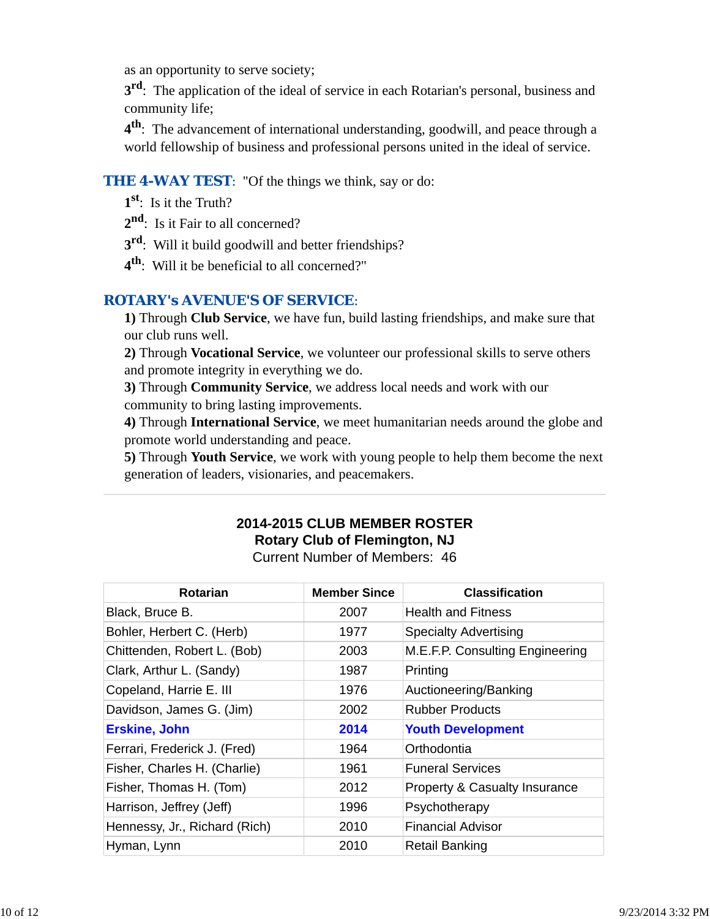as an opportunity to serve society;

**3<sup>rd</sup>**: The application of the ideal of service in each Rotarian's personal, business and community life;

**4th**: The advancement of international understanding, goodwill, and peace through a world fellowship of business and professional persons united in the ideal of service.

### **THE 4-WAY TEST:** "Of the things we think, say or do:

- **1st**: Is it the Truth?
- 2<sup>nd</sup>: Is it Fair to all concerned?
- **3rd**: Will it build goodwill and better friendships?
- **4th**: Will it be beneficial to all concerned?"

## *ROTARY's AVENUE'S OF SERVICE*:

**1)** Through **Club Service**, we have fun, build lasting friendships, and make sure that our club runs well.

**2)** Through **Vocational Service**, we volunteer our professional skills to serve others and promote integrity in everything we do.

**3)** Through **Community Service**, we address local needs and work with our community to bring lasting improvements.

**4)** Through **International Service**, we meet humanitarian needs around the globe and promote world understanding and peace.

**5)** Through **Youth Service**, we work with young people to help them become the next generation of leaders, visionaries, and peacemakers.

## **2014-2015 CLUB MEMBER ROSTER Rotary Club of Flemington, NJ**

Current Number of Members: 46

| <b>Rotarian</b>               | <b>Member Since</b> | <b>Classification</b>                    |
|-------------------------------|---------------------|------------------------------------------|
| Black, Bruce B.               | 2007                | <b>Health and Fitness</b>                |
| Bohler, Herbert C. (Herb)     | 1977                | <b>Specialty Advertising</b>             |
| Chittenden, Robert L. (Bob)   | 2003                | M.E.F.P. Consulting Engineering          |
| Clark, Arthur L. (Sandy)      | 1987                | Printing                                 |
| Copeland, Harrie E. III       | 1976                | Auctioneering/Banking                    |
| Davidson, James G. (Jim)      | 2002                | <b>Rubber Products</b>                   |
| <b>Erskine, John</b>          | 2014                | <b>Youth Development</b>                 |
| Ferrari, Frederick J. (Fred)  | 1964                | Orthodontia                              |
| Fisher, Charles H. (Charlie)  | 1961                | <b>Funeral Services</b>                  |
| Fisher, Thomas H. (Tom)       | 2012                | <b>Property &amp; Casualty Insurance</b> |
| Harrison, Jeffrey (Jeff)      | 1996                | Psychotherapy                            |
| Hennessy, Jr., Richard (Rich) | 2010                | <b>Financial Advisor</b>                 |
| Hyman, Lynn                   | 2010                | <b>Retail Banking</b>                    |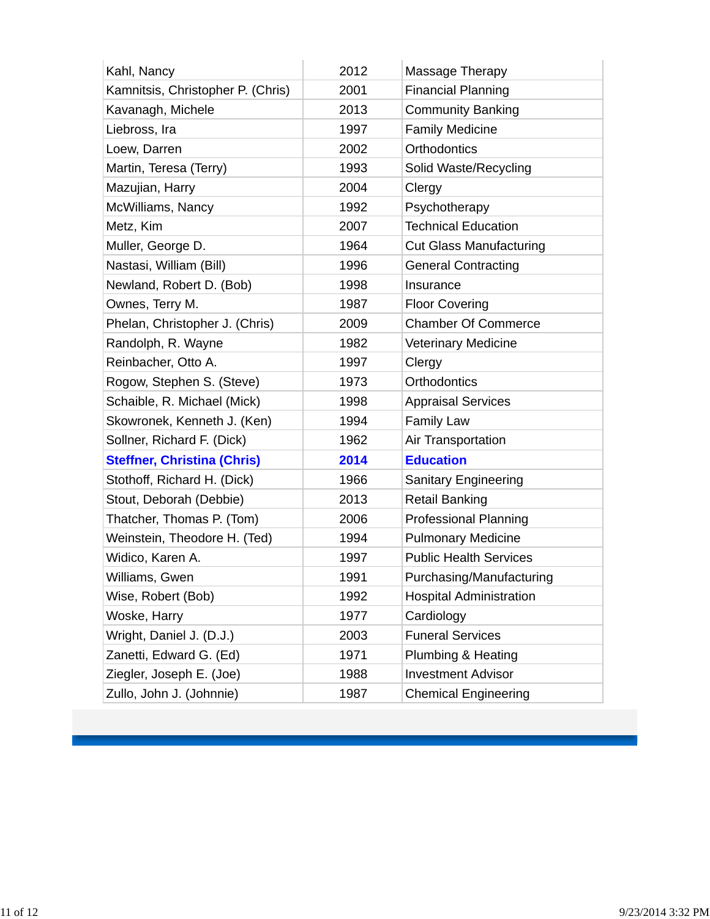| Kahl, Nancy                        | 2012 | Massage Therapy                |
|------------------------------------|------|--------------------------------|
| Kamnitsis, Christopher P. (Chris)  | 2001 | <b>Financial Planning</b>      |
| Kavanagh, Michele                  | 2013 | <b>Community Banking</b>       |
| Liebross, Ira                      | 1997 | <b>Family Medicine</b>         |
| Loew, Darren                       | 2002 | Orthodontics                   |
| Martin, Teresa (Terry)             | 1993 | Solid Waste/Recycling          |
| Mazujian, Harry                    | 2004 | Clergy                         |
| McWilliams, Nancy                  | 1992 | Psychotherapy                  |
| Metz, Kim                          | 2007 | <b>Technical Education</b>     |
| Muller, George D.                  | 1964 | <b>Cut Glass Manufacturing</b> |
| Nastasi, William (Bill)            | 1996 | <b>General Contracting</b>     |
| Newland, Robert D. (Bob)           | 1998 | Insurance                      |
| Ownes, Terry M.                    | 1987 | <b>Floor Covering</b>          |
| Phelan, Christopher J. (Chris)     | 2009 | <b>Chamber Of Commerce</b>     |
| Randolph, R. Wayne                 | 1982 | <b>Veterinary Medicine</b>     |
| Reinbacher, Otto A.                | 1997 | Clergy                         |
| Rogow, Stephen S. (Steve)          | 1973 | <b>Orthodontics</b>            |
| Schaible, R. Michael (Mick)        | 1998 | <b>Appraisal Services</b>      |
| Skowronek, Kenneth J. (Ken)        | 1994 | <b>Family Law</b>              |
| Sollner, Richard F. (Dick)         | 1962 | Air Transportation             |
| <b>Steffner, Christina (Chris)</b> | 2014 | <b>Education</b>               |
| Stothoff, Richard H. (Dick)        | 1966 | Sanitary Engineering           |
| Stout, Deborah (Debbie)            | 2013 | <b>Retail Banking</b>          |
| Thatcher, Thomas P. (Tom)          | 2006 | <b>Professional Planning</b>   |
| Weinstein, Theodore H. (Ted)       | 1994 | <b>Pulmonary Medicine</b>      |
| Widico, Karen A.                   | 1997 | <b>Public Health Services</b>  |
| Williams, Gwen                     | 1991 | Purchasing/Manufacturing       |
| Wise, Robert (Bob)                 | 1992 | <b>Hospital Administration</b> |
| Woske, Harry                       | 1977 | Cardiology                     |
| Wright, Daniel J. (D.J.)           | 2003 | <b>Funeral Services</b>        |
| Zanetti, Edward G. (Ed)            | 1971 | Plumbing & Heating             |
| Ziegler, Joseph E. (Joe)           | 1988 | <b>Investment Advisor</b>      |
| Zullo, John J. (Johnnie)           | 1987 | <b>Chemical Engineering</b>    |